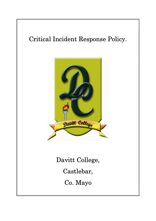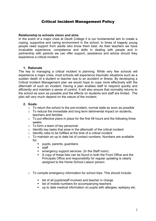# Critical Incident Management Policy

## Relationship to schools vision and aims

In the event of a major crisis at Davitt College it is our fundamental aim to create a coping, supportive and caring environment in the school. In times of tragedy young people need support from adults who know them best. As their teachers we have invaluable experience, competence and skills in dealing with people and in partnership with parents we can offer support, assistance and advice should they experience a critical incident.

## 1. Rationale

The key to managing a critical incident is planning. While very few schools will experience a major crisis, most schools will experience traumatic situations such as a sudden death of a student or teacher due to an accident or illness. By developing a Critical Incident Management plan we would hope to cope more effectively with the aftermath of such an incident. Having a plan enables staff to respond quickly and efficiently and maintain a sense of control. It will also ensure that normality returns to the school as soon as possible and the effects on students and staff are limited. The plan will very much depend on the nature of the incident.

## 2. Goals

- o To return the school to the pre-incident, normal state as soon as possible
- $\circ$  To reduce the immediate and long term detrimental impact on students, teachers and families
- $\circ$  To put effective plans in place for the first 48 hours and the following three weeks
- o To form a team of key personnel
- $\circ$  Identify key tasks that arise in the aftermath of the critical incident
- $\circ$  Identify roles to be fulfilled at the time of a critical incident
- o To maintain an up to date list of contact numbers. Numbers are available for:
	- pupils, parents, guardians
	- staff
	- **EXECUTE:** emergency support services (In the Staff room)
	- A copy of these lists can be found in both the Front Office and the Principals Office and responsibility for regular updating is clearly assigned to the Home School Liaison person
- o To compile emergency information for school trips. This should include:
	- **I** list of all pupils/staff involved and teacher in charge
	- **I** list of mobile numbers for accompanying teachers
	- up to date medical information on pupils with allergies, epilepsy etc.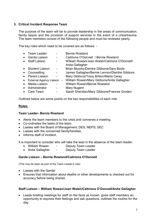# 3. Critical Incident Response Team

The purpose of the team will be to provide leadership in the areas of communication, family liaison and the provision of support services in the event of a crisis/trauma. The team members consist of the following people and must be reviewed yearly.

The key roles which need to be covered are as follows: -

- Team Leader Bernie Rowland • Garda Liaison - Caitriona O'Donnell / Bernie Rowland • Staff Liaison - William Rowan/Joan Walsh/Caitriona O'Donnell/ Anita Gallagher • Student Liaison - Brian Murphy/Deirdre Gibbons/Gary Boyle • Counselling - James Gallagher/Bernie Lennon/Deirdre Gibbons • Parent Liaison - Mary Gibbons/Tracy Britton/Maria Carey External Agency Liaison - William Rowan/Mary Gibbons/Anita Gallagher • Media Liaison - William Rowan/Bernie Rowland • Administrator - Mary Nugent
- Care Team Sarah Sheridan/Mary Gibbons/Frances Groden

Outlined below are some points on the key responsibilities of each role.

# Roles:

# Team Leader- Bernie Rowland

- Alerts the team members to the crisis and convenes a meeting.
- Co-ordinates the tasks of the team.
- Liaises with the Board of Management: DES: NEPS: SEC
- Liaises with the concerned family/families.
- Informs staff of incident

It is important to consider who will take the lead in the absence of the team leader.

- William Rowan Deputy Team Leader
- Anita Gallagher Deputy Team Leader

## Garda Liaison – Bernie Rowland/Caitriona O'Donnell

(This may be seen as part of the Team Leader's role)

- Liaises with the Gardaí
- Ensures that information about deaths or other developments is checked out for accuracy before being shared.

## Staff Liaison – William Rowan/Joan Walsh/Caitriona O'Donnell/Anita Gallagher

 Leads briefing meetings for staff on the facts as known, gives staff members an opportunity to express their feelings and ask questions, outlines the routine for the day.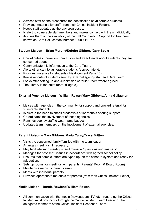- Advises staff on the procedures for identification of vulnerable students.
- Provides materials for staff (from their Critical Incident Folder).
- Keeps staff updated as the day progresses.
- Is alert to vulnerable staff members and makes contact with them individually.
- Advises them of the availability of the TUI Counselling Support for Teachers known as Care Call, contact number 1800 411 057.

## Student Liaison - Brian Murphy/Deirdre Gibbons/Gary Boyle

- Co-ordinates information from Tutors and Year Heads about students they are concerned about.
- Communicate this information to the Care Team.
- Alerts other staff to vulnerable students (appropriately).
- Provides materials for students (this document Page 16).
- Keeps records of students seen by external agency staff and Care Team.
- Looks after setting up and supervision of "quiet" room where agreed.
- The Library is the quiet room. (Page 8).

## External /Agency Liaison – William Rowan/Mary Gibbons/Anita Gallagher

- Liaises with agencies in the community for support and onward referral for vulnerable students.
- Is alert to the need to check credentials of individuals offering support.
- Co-ordinates the involvement of these agencies.
- Reminds agency staff to wear name badges.
- Updates team members on the involvement of external agencies.

# Parent Liaison – Mary Gibbons/Maria Carey/Tracy Britton

- Visits the concerned family/families with the team leader.
- Arranges meetings, if necessary.
- May facilitate such meetings, and manage "questions and answers".
- Manages the "consent" issues in accordance with agreed school policy.
- Ensures that sample letters are typed up, on the school's system and ready for adaptation.
- Sets up rooms for meetings with parents (Parents' Room & Board Room)
- Maintains a record of parents seen.
- Meets with individual parents.
- Provides appropriate materials for parents (from their Critical Incident Folder).

## Media Liaison – Bernie Rowland/William Rowan

 All communication with the media (newspapers, TV, etc.) regarding the Critical Incident must only occur through the Critical Incident Team Leader or the delegated members of the Critical Incident Response Team.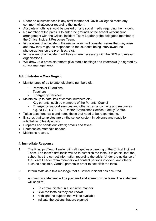- Under no circumstances is any staff member of Davitt College to make any comment whatsoever regarding the incident.
- Absolutely nothing should be posted on any social media regarding the incident.
- No member of the press is to enter the grounds of the school without prior arrangement with the Critical Incident Team Leader or the delegated member of the Critical Incident Response Team.
- In the event of an incident, the media liaison will consider issues that may arise and how they might be responded to (no students being interviewed, no photographers on the premises, etc).
- In the event of an incident, will liaise where necessary with the DES and relevant organisations.
- Will draw up a press statement; give media briefings and interviews (as agreed by school management).

# Administrator – Mary Nugent

- Maintenance of up to date telephone numbers of:
	- Parents or Guardians
	- **Teachers**
	- Emergency Services
- Maintains up to date lists of contact numbers of:
	- Key parents, such as members of the Parents' Council
	- Emergency support services and other external contacts and resources e.g. NEPS; NYP; HSE; Doctor; Ambulance Service; Family Centre
- Takes telephone calls and notes those that need to be responded to.
- Ensures that templates are on the school system in advance and ready for adaptation. (See Apendix)
- Prepares and sends out letters; emails and faxes.
- Photocopies materials needed.
- Maintains records

# 4. Immediate Response

- 1. The Principal/Team Leader will call together a meeting of the Critical Incident Team. The team's first tasks will be to establish the facts. It is crucial that the school has the correct information regarding the crisis. Under the guidance of the Team Leader team members will contact persons involved, and others such as hospitals, Gardaí, parents in order to establish the facts.
- 2. Inform staff via a text message that a Critical Incident has occurred.
- 3. A common statement will be prepared and agreed by the team. The statement will seek to:
	- Be communicated in a sensitive manner
	- Give the facts as they are known
	- Highlight the support that will be available
	- Indicate the actions that are planned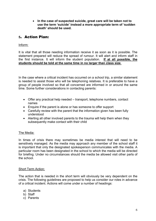• In the case of suspected suicide, great care will be taken not to use the term 'suicide' instead a more appropriate term of 'sudden death' should be used.

# 5. Action Plan:

# Inform:

It is vital that all those needing information receive it as soon as it is possible. The statement prepared will reduce the spread of rumour. It will alert and inform staff in the first instance. It will inform the student population. If at all possible, the students should be told at the same time in no larger than class size.

In the case where a critical incident has occurred on a school trip, a similar statement is needed to assist those who will be telephoning relatives. It is preferable to have a group of people involved so that all concerned are informed in or around the same time. Some further considerations in contacting parents:

- Offer any practical help needed transport, telephone numbers, contact names
- Enquire if the parent is alone or has someone to offer support
- Carefully review with the parent that the information given has been fully understood
- Alerting all other involved parents to the trauma will help them when they subsequently make contact with their child

# The Media:

In times of crisis there may sometimes be media interest that will need to be sensitively managed. As the media may approach any member of the school staff it is important that only the designated spokesperson communicates with the media. A particular room has been designated in the school to which the media will be directed for briefing. Under no circumstances should the media be allowed visit other parts of the school.

# Short Term Action:

The action that is needed in the short term will obviously be very dependent on the crisis. The following guidelines are proposed to help us consider our roles in advance of a critical incident. Actions will come under a number of headings:

- a) Students
- b) Staff
- c) Parents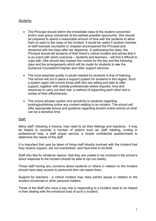## Students:

- The Principal should inform the immediate class of the student concerned and/or year group concerned at the earliest possible opportunity. She should be prepared to spend a reasonable amount of time with the students to allow them to react to the news of the incident. It would be useful if another member of staff example counsellor or chaplain accompanied the Principal and remained with the class after her departure. In addressing the class, the Principal should tell students of their friend's critical incident and advise that it is an event with which everyone – students and teachers – will find it difficult to cope with. She should also explain the routine for the day and the following days and the arrangements which will be made for students to see the Guidance Counsellor/Chaplain and other support services.
- The most essential quality in adults needed by students is that of listening. The school will put in place a support system for students in this regard. Such a system again will involve those staff who are willing and able to offer support, together with outside professionals where required, time and resources to carry out their role, a method of supporting each other and a review of their effectiveness.
- The school advises caution and sensitivity to students regarding posting/publishing online any content relating to an incident. The school will offer appropriate advice and guidance regarding student online activity at what can be a sensitive time.

## Staff:

Many staff, following a trauma, may need to air their feelings and reactions. It may be helpful to consider a number of options such as: staff meeting, inviting in professional help, a staff prayer service, a simple confidential questionnaire to determine the needs of the staff.

It is important that care be taken of those staff directly involved with the incident that they receive support, are not overworked, and have time to de-brief.

Staff who feel for whatever reason, that they are unable to be involved in the school's direct response to the incident should be able to opt out readily.

Those staff having any concerns about students or others in relation to the incident should have easy access to personnel who can assist them.

Support for teachers - a critical incident may raise painful issues in relation to the student concerned or other personal matters.

Those of the Staff who have a key role in responding to a incident need to he helped in their dealing with the emotional load of such a incident.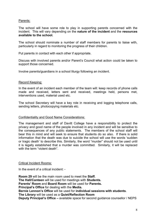# Parents:

The school will have some role to play in supporting parents concerned with the incident. This will vary depending on the nature of the incident and the resources available to the school.

The school should nominate a number of staff members for parents to liaise with, particularly in regard to monitoring the progress of their children.

Put parents in contact with each other if appropriate.

Discuss with involved parents and/or Parent's Council what action could be taken to support those concerned.

Involve parents/guardians in a school liturgy following an incident.

## Record Keeping:

In the event of an incident each member of the team will: keep records of phone calls made and received, letters sent and received, meetings held, persons met, interventions used, material used etc.

The school Secretary will have a key role in receiving and logging telephone calls, sending letters, photocopying materials etc.

## Confidentiality and Good Name Considerations:

The management and staff of Davitt College have a responsibility to protect the privacy and good name of the people involved in any incident and will be sensitive to the consequences of any public statements. The members of the school staff will bear this in mind and will seek to ensure that students do so also. If there is solid information that the death was due to suicide the school will use the words 'sudden or tragic death' to describe this. Similarly, the word "murder" should not be used until it is legally established that a murder was committed. Similarly, it will be replaced with the term "violent death"

## Critical Incident Rooms:

In the event of a critical incident: -

Room 29 will be the main room used to meet the Staff. The Hall/Canteen will be used for meetings with Students. Parents' Room and Board Room will be used for Parents. Principal's Office for dealing with the Media. Bernie Lennon's Office will be used for individual sessions with students. The Library will be used as a Quiet/Reflection Room Deputy Principal's Office – available space for second guidance counsellor / NEPS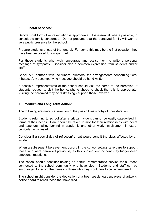## 6. Funeral Services:

Decide what form of representation is appropriate. It is essential, where possible, to consult the family concerned. Do not presume that the bereaved family will want a very public presence by the school.

Prepare students ahead of the funeral. For some this may be the first occasion they have been exposed to a major grief.

For those students who wish, encourage and assist them to write a personal message of sympathy. Consider also a common expression from students and/or staff.

Check out, perhaps with the funeral directors, the arrangements concerning floral tributes. Any accompanying message should be hand-written.

If possible, representatives of the school should visit the home of the bereaved. If students request to visit the home, phone ahead to check that this is appropriate. Visiting the bereaved may be distressing - support those involved.

## 7. Medium and Long Term Action:

The following are merely a selection of the possibilities worthy of consideration:

Students returning to school after a critical incident cannot be easily categorised in terms of their needs. Care should be taken to monitor their relationships with peers and teachers, falling behind in academic and other work; involvement in extracurricular activities etc.

Consider if a special day of reflection/retreat would benefit the class affected by an incident.

When a subsequent bereavement occurs in the school setting, take care to support those who were bereaved previously as this subsequent incident may trigger deep emotional reactions.

The school should consider holding an annual remembrance service for all those connected to the school community who have died. Students and staff can be encouraged to record the names of those who they would like to be remembered.

The school might consider the dedication of a tree, special garden, piece of artwork, notice board to recall those that have died.